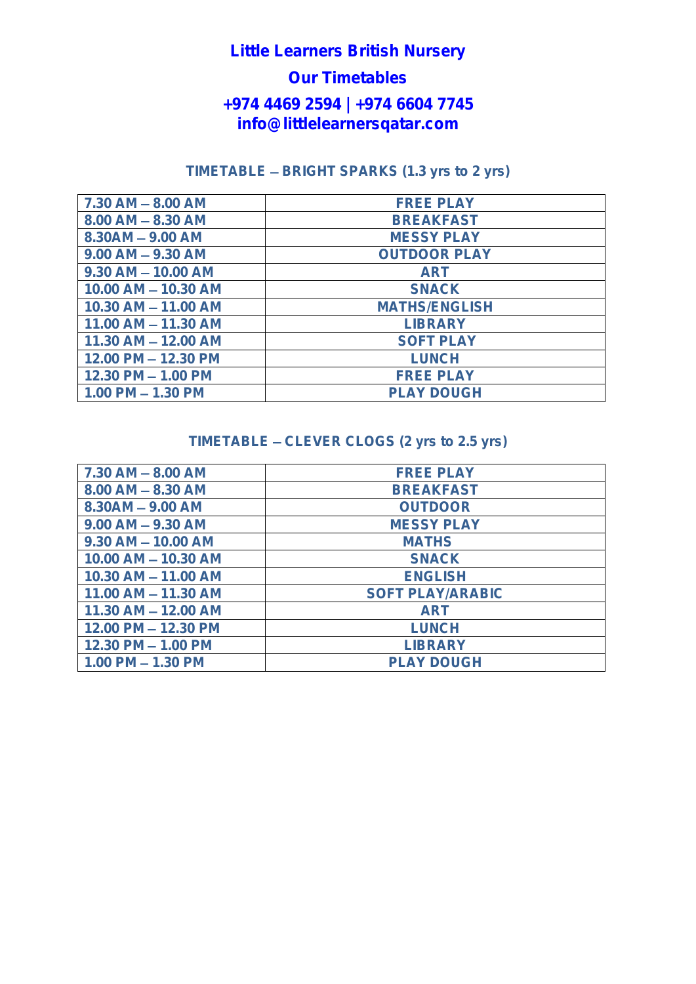# **Little Learners British Nursery**

# **Our Timetables**

#### **+974 4469 2594 | +974 6604 7745 info@littlelearnersqatar.com**

#### **TIMETABLE BRIGHT SPARKS (1.3 yrs to 2 yrs)**

| $7.30$ AM $- 8.00$ AM   | <b>FREE PLAY</b>     |
|-------------------------|----------------------|
| $8.00$ AM $- 8.30$ AM   | <b>BREAKFAST</b>     |
| $8.30AM - 9.00 AM$      | <b>MESSY PLAY</b>    |
| $9.00$ AM $- 9.30$ AM   | <b>OUTDOOR PLAY</b>  |
| $9.30$ AM $- 10.00$ AM  | <b>ART</b>           |
| 10.00 AM - 10.30 AM     | <b>SNACK</b>         |
| 10.30 AM - 11.00 AM     | <b>MATHS/ENGLISH</b> |
| $11.00$ AM $- 11.30$ AM | <b>LIBRARY</b>       |
| $11.30$ AM $- 12.00$ AM | <b>SOFT PLAY</b>     |
| $12.00$ PM $- 12.30$ PM | <b>LUNCH</b>         |
| $12.30$ PM $- 1.00$ PM  | <b>FREE PLAY</b>     |
| $1.00$ PM $- 1.30$ PM   | PLAY DOUGH           |

#### **TIMETABLE CLEVER CLOGS (2 yrs to 2.5 yrs)**

| $7.30$ AM $- 8.00$ AM   | <b>FREE PLAY</b>  |
|-------------------------|-------------------|
| $8.00$ AM $- 8.30$ AM   | <b>BREAKFAST</b>  |
| $8.30AM - 9.00 AM$      | <b>OUTDOOR</b>    |
| $9.00$ AM $- 9.30$ AM   | <b>MESSY PLAY</b> |
| $9.30$ AM $- 10.00$ AM  | <b>MATHS</b>      |
| 10.00 AM - 10.30 AM     | <b>SNACK</b>      |
| 10.30 AM - 11.00 AM     | <b>ENGLISH</b>    |
| 11.00 AM - 11.30 AM     | SOFT PLAY/ARABIC  |
| $11.30$ AM $- 12.00$ AM | <b>ART</b>        |
| 12.00 PM - 12.30 PM     | <b>LUNCH</b>      |
| $12.30$ PM $- 1.00$ PM  | <b>LIBRARY</b>    |
| $1.00$ PM $- 1.30$ PM   | PLAY DOUGH        |